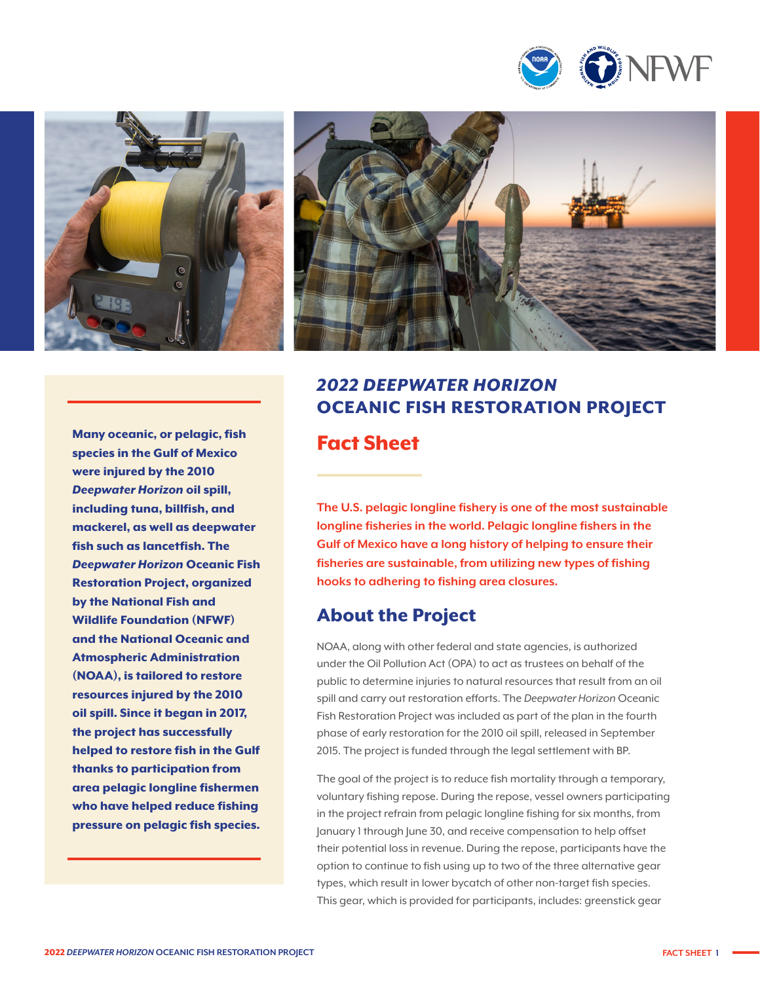





Many oceanic, or pelagic, fish species in the Gulf of Mexico were injured by the 2010 *Deepwater Horizon* oil spill, including tuna, billfish, and mackerel, as well as deepwater fish such as lancetfish. The *Deepwater Horizon* Oceanic Fish Restoration Project, organized by the National Fish and Wildlife Foundation (NFWF) and the National Oceanic and Atmospheric Administration (NOAA), is tailored to restore resources injured by the 2010 oil spill. Since it began in 2017, the project has successfully helped to restore fish in the Gulf thanks to participation from area pelagic longline fishermen who have helped reduce fishing pressure on pelagic fish species.

# *2022 DEEPWATER HORIZON*  OCEANIC FISH RESTORATION PROJECT Fact Sheet

**The U.S. pelagic longline fishery is one of the most sustainable longline fisheries in the world. Pelagic longline fishers in the Gulf of Mexico have a long history of helping to ensure their fisheries are sustainable, from utilizing new types of fishing hooks to adhering to fishing area closures.**

#### About the Project

NOAA, along with other federal and state agencies, is authorized under the Oil Pollution Act (OPA) to act as trustees on behalf of the public to determine injuries to natural resources that result from an oil spill and carry out restoration efforts. The *Deepwater Horizon* Oceanic Fish Restoration Project was included as part of the plan in the fourth phase of early restoration for the 2010 oil spill, released in September 2015. The project is funded through the legal settlement with BP.

The goal of the project is to reduce fish mortality through a temporary, voluntary fishing repose. During the repose, vessel owners participating in the project refrain from pelagic longline fishing for six months, from January 1 through June 30, and receive compensation to help offset their potential loss in revenue. During the repose, participants have the option to continue to fish using up to two of the three alternative gear types, which result in lower bycatch of other non-target fish species. This gear, which is provided for participants, includes: greenstick gear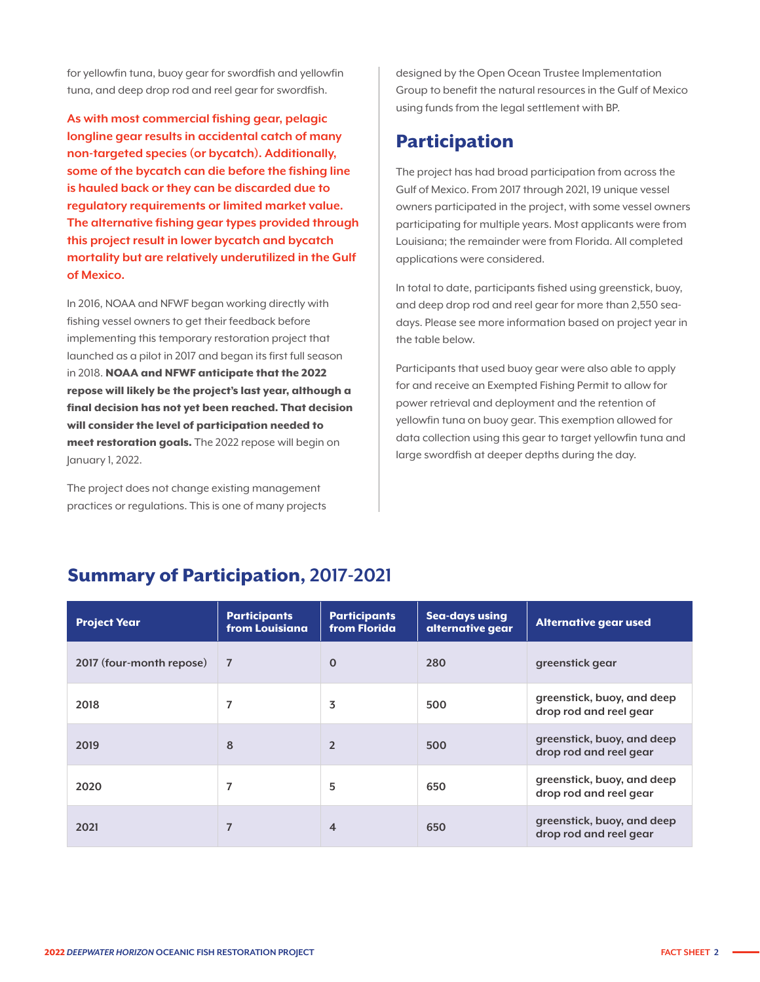for yellowfin tuna, buoy gear for swordfish and yellowfin tuna, and deep drop rod and reel gear for swordfish.

**As with most commercial fishing gear, pelagic longline gear results in accidental catch of many non-targeted species (or bycatch). Additionally, some of the bycatch can die before the fishing line is hauled back or they can be discarded due to regulatory requirements or limited market value. The alternative fishing gear types provided through this project result in lower bycatch and bycatch mortality but are relatively underutilized in the Gulf of Mexico.**

In 2016, NOAA and NFWF began working directly with fishing vessel owners to get their feedback before implementing this temporary restoration project that launched as a pilot in 2017 and began its first full season in 2018. NOAA and NFWF anticipate that the 2022 repose will likely be the project's last year, although a final decision has not yet been reached. That decision will consider the level of participation needed to meet restoration goals. The 2022 repose will begin on January 1, 2022.

The project does not change existing management practices or regulations. This is one of many projects designed by the Open Ocean Trustee Implementation Group to benefit the natural resources in the Gulf of Mexico using funds from the legal settlement with BP.

### Participation

The project has had broad participation from across the Gulf of Mexico. From 2017 through 2021, 19 unique vessel owners participated in the project, with some vessel owners participating for multiple years. Most applicants were from Louisiana; the remainder were from Florida. All completed applications were considered.

In total to date, participants fished using greenstick, buoy, and deep drop rod and reel gear for more than 2,550 seadays. Please see more information based on project year in the table below.

Participants that used buoy gear were also able to apply for and receive an Exempted Fishing Permit to allow for power retrieval and deployment and the retention of yellowfin tuna on buoy gear. This exemption allowed for data collection using this gear to target yellowfin tuna and large swordfish at deeper depths during the day.

| <b>Project Year</b>      | <b>Participants</b><br>from Louisiana | <b>Participants</b><br>from Florida | Sea-days using<br>alternative gear | <b>Alternative gear used</b>                         |
|--------------------------|---------------------------------------|-------------------------------------|------------------------------------|------------------------------------------------------|
| 2017 (four-month repose) | $\overline{7}$                        | $\mathbf 0$                         | 280                                | greenstick gear                                      |
| 2018                     | 7                                     | 3                                   | 500                                | greenstick, buoy, and deep<br>drop rod and reel gear |
| 2019                     | 8                                     | $\overline{2}$                      | 500                                | greenstick, buoy, and deep<br>drop rod and reel gear |
| 2020                     | 7                                     | 5                                   | 650                                | greenstick, buoy, and deep<br>drop rod and reel gear |
| 2021                     | 7                                     | 4                                   | 650                                | greenstick, buoy, and deep<br>drop rod and reel gear |

## Summary of Participation, **2017-2021**